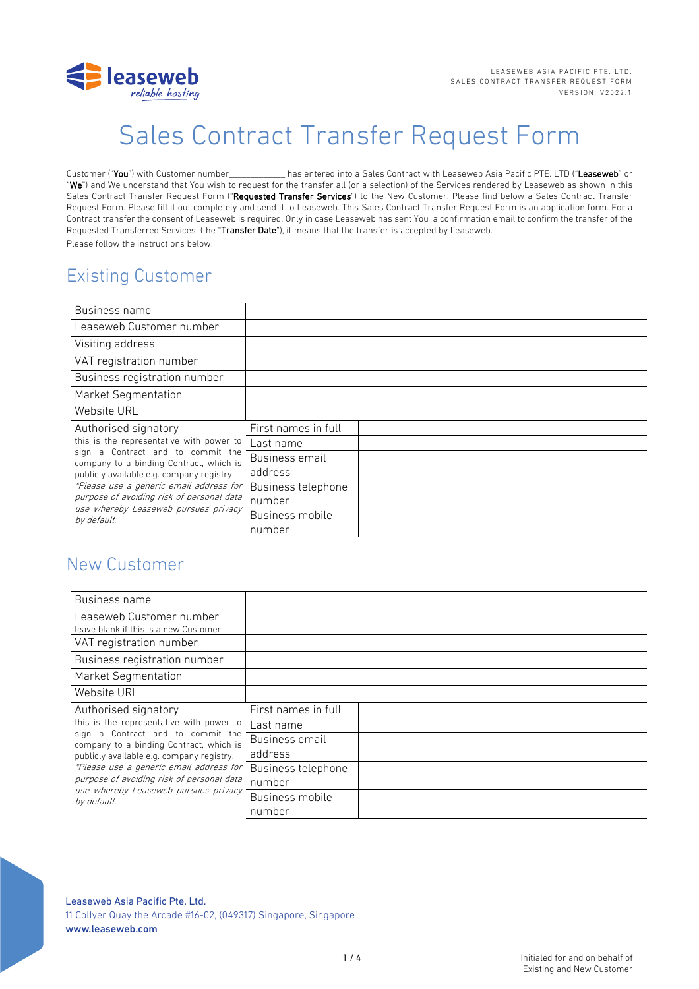

# Sales Contract Transfer Request Form

Customer ("You") with Customer number\_\_\_\_\_\_\_\_\_\_\_\_\_ has entered into a Sales Contract with Leaseweb Asia Pacific PTE. LTD ("Leaseweb" or "We") and We understand that You wish to request for the transfer all (or a selection) of the Services rendered by Leaseweb as shown in this Sales Contract Transfer Request Form ("Requested Transfer Services") to the New Customer. Please find below a Sales Contract Transfer Request Form. Please fill it out completely and send it to Leaseweb. This Sales Contract Transfer Request Form is an application form. For a Contract transfer the consent of Leaseweb is required. Only in case Leaseweb has sent You a confirmation email to confirm the transfer of the Requested Transferred Services (the "Transfer Date"), it means that the transfer is accepted by Leaseweb. Please follow the instructions below:

# Existing Customer

| Business name                                                                                                                                                                                                                                                                                                                                |                     |  |
|----------------------------------------------------------------------------------------------------------------------------------------------------------------------------------------------------------------------------------------------------------------------------------------------------------------------------------------------|---------------------|--|
| Leaseweb Customer number                                                                                                                                                                                                                                                                                                                     |                     |  |
| Visiting address                                                                                                                                                                                                                                                                                                                             |                     |  |
| VAT registration number                                                                                                                                                                                                                                                                                                                      |                     |  |
| Business registration number                                                                                                                                                                                                                                                                                                                 |                     |  |
| <b>Market Segmentation</b>                                                                                                                                                                                                                                                                                                                   |                     |  |
| Website URL                                                                                                                                                                                                                                                                                                                                  |                     |  |
| Authorised signatory<br>this is the representative with power to<br>sign a Contract and to commit the<br>company to a binding Contract, which is<br>publicly available e.g. company registry.<br>*Please use a generic email address for<br>purpose of avoiding risk of personal data<br>use whereby Leaseweb pursues privacy<br>by default. | First names in full |  |
|                                                                                                                                                                                                                                                                                                                                              | Last name           |  |
|                                                                                                                                                                                                                                                                                                                                              | Business email      |  |
|                                                                                                                                                                                                                                                                                                                                              | address             |  |
|                                                                                                                                                                                                                                                                                                                                              | Business telephone  |  |
|                                                                                                                                                                                                                                                                                                                                              | number              |  |
|                                                                                                                                                                                                                                                                                                                                              | Business mobile     |  |
|                                                                                                                                                                                                                                                                                                                                              | number              |  |

# New Customer

| Business name                                                                                                                                                                                                                                                                                                                                |                              |  |
|----------------------------------------------------------------------------------------------------------------------------------------------------------------------------------------------------------------------------------------------------------------------------------------------------------------------------------------------|------------------------------|--|
| Leaseweb Customer number<br>leave blank if this is a new Customer                                                                                                                                                                                                                                                                            |                              |  |
| VAT registration number                                                                                                                                                                                                                                                                                                                      |                              |  |
| Business registration number                                                                                                                                                                                                                                                                                                                 |                              |  |
| <b>Market Segmentation</b>                                                                                                                                                                                                                                                                                                                   |                              |  |
| Website URL                                                                                                                                                                                                                                                                                                                                  |                              |  |
| Authorised signatory<br>this is the representative with power to<br>sign a Contract and to commit the<br>company to a binding Contract, which is<br>publicly available e.g. company registry.<br>*Please use a generic email address for<br>purpose of avoiding risk of personal data<br>use whereby Leaseweb pursues privacy<br>by default. | First names in full          |  |
|                                                                                                                                                                                                                                                                                                                                              | Last name                    |  |
|                                                                                                                                                                                                                                                                                                                                              | Business email<br>address    |  |
|                                                                                                                                                                                                                                                                                                                                              | Business telephone<br>number |  |
|                                                                                                                                                                                                                                                                                                                                              | Business mobile<br>number    |  |

Leaseweb Asia Pacific Pte. Ltd.

11 Collyer Quay the Arcade #16-02, (049317) Singapore, Singapore www.leaseweb.com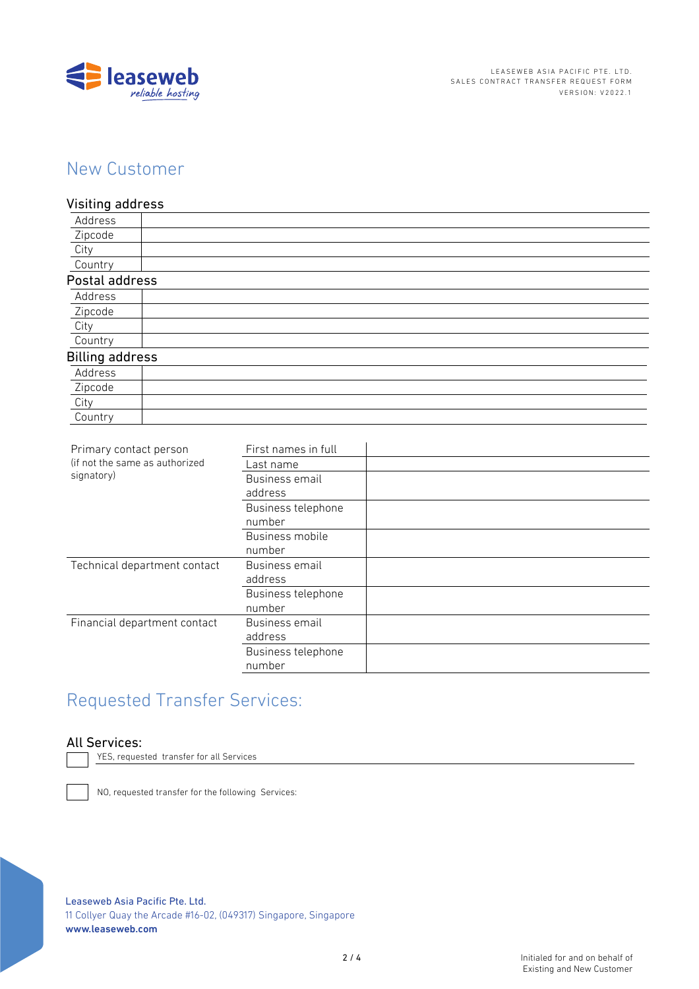

# New Customer

### Visiting address

| Address                |  |
|------------------------|--|
| Zipcode                |  |
| City                   |  |
| Country                |  |
| Postal address         |  |
| Address                |  |
| Zipcode                |  |
| City                   |  |
| Country                |  |
| <b>Billing address</b> |  |
| Address                |  |
| Zipcode                |  |
| City                   |  |
| Country                |  |
|                        |  |

| Primary contact person<br>(if not the same as authorized<br>signatory) | First names in full          |  |
|------------------------------------------------------------------------|------------------------------|--|
|                                                                        | Last name                    |  |
|                                                                        | Business email<br>address    |  |
|                                                                        | Business telephone<br>number |  |
|                                                                        | Business mobile<br>number    |  |
| Technical department contact                                           | Business email<br>address    |  |
|                                                                        | Business telephone<br>number |  |
| Financial department contact                                           | Business email<br>address    |  |
|                                                                        | Business telephone<br>number |  |
|                                                                        |                              |  |

# Requested Transfer Services:

### All Services:

YES, requested transfer for all Services

NO, requested transfer for the following Services:

Leaseweb Asia Pacific Pte, Ltd.

11 Collyer Quay the Arcade #16-02, (049317) Singapore, Singapore www.leaseweb.com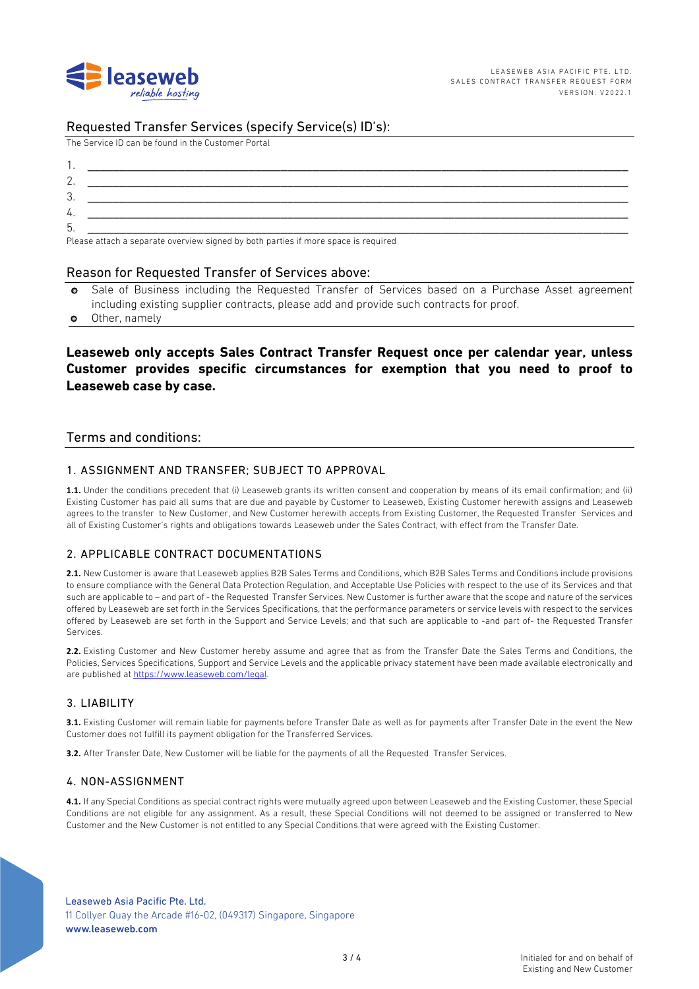

### Requested Transfer Services (specify Service(s) ID's):

The Service ID can be found in the Customer Portal

| . . |                                                                                                                                                                                                                                |
|-----|--------------------------------------------------------------------------------------------------------------------------------------------------------------------------------------------------------------------------------|
| L.  |                                                                                                                                                                                                                                |
| . ب |                                                                                                                                                                                                                                |
| 4.  |                                                                                                                                                                                                                                |
| ხ.  |                                                                                                                                                                                                                                |
|     | The contract of the contract of the contract of the contract of the contract of the contract of the contract of the contract of the contract of the contract of the contract of the contract of the contract of the contract o |

Please attach a separate overview signed by both parties if more space is required

#### Reason for Requested Transfer of Services above:

- Sale of Business including the Requested Transfer of Services based on a Purchase Asset agreement including existing supplier contracts, please add and provide such contracts for proof.
- Other, namely  $\bullet$

## Leaseweb only accepts Sales Contract Transfer Request once per calendar year, unless Customer provides specific circumstances for exemption that you need to proof to Leaseweb case by case.

#### Terms and conditions:

#### 1. ASSIGNMENT AND TRANSFER: SUBJECT TO APPROVAL

1.1. Under the conditions precedent that (i) Leaseweb grants its written consent and cooperation by means of its email confirmation; and (ii) Existing Customer has paid all sums that are due and payable by Customer to Leaseweb, Existing Customer herewith assigns and Leaseweb agrees to the transfer to New Customer, and New Customer herewith accepts from Existing Customer, the Requested Transfer Services and all of Existing Customer's rights and obligations towards Leaseweb under the Sales Contract, with effect from the Transfer Date.

### 2. APPLICABLE CONTRACT DOCUMENTATIONS

2.1. New Customer is aware that Leaseweb applies B2B Sales Terms and Conditions, which B2B Sales Terms and Conditions include provisions to ensure compliance with the General Data Protection Regulation, and Acceptable Use Policies with respect to the use of its Services and that such are applicable to - and part of - the Requested Transfer Services. New Customer is further aware that the scope and nature of the services offered by Leaseweb are set forth in the Services Specifications, that the performance parameters or service levels with respect to the services offered by Leaseweb are set forth in the Support and Service Levels; and that such are applicable to -and part of- the Requested Transfer Services

2.2. Existing Customer and New Customer hereby assume and agree that as from the Transfer Date the Sales Terms and Conditions, the Policies, Services Specifications, Support and Service Levels and the applicable privacy statement have been made available electronically and are published at https://www.leaseweb.com/legal.

#### 3. LIABILITY

3.1. Existing Customer will remain liable for payments before Transfer Date as well as for payments after Transfer Date in the event the New Customer does not fulfill its payment obligation for the Transferred Services.

3.2. After Transfer Date, New Customer will be liable for the payments of all the Requested Transfer Services.

#### 4. NON-ASSIGNMENT

4.1. If any Special Conditions as special contract rights were mutually agreed upon between Leaseweb and the Existing Customer, these Special Conditions are not eligible for any assignment. As a result, these Special Conditions will not deemed to be assigned or transferred to New Customer and the New Customer is not entitled to any Special Conditions that were agreed with the Existing Customer.